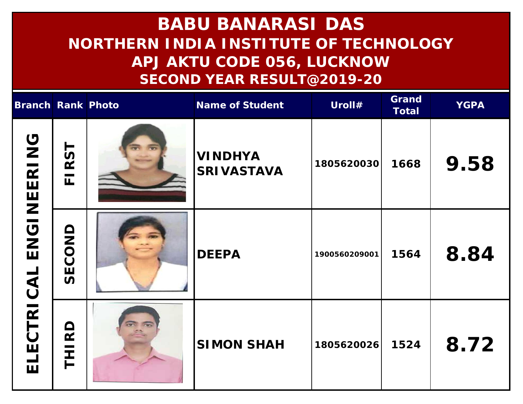| Branch Rank Photo |                                         |                               | Name of Student                     | Uroll#        | Grand<br>Total | <b>YGPA</b> |
|-------------------|-----------------------------------------|-------------------------------|-------------------------------------|---------------|----------------|-------------|
| ENGINEERING       | RST<br>$\frac{1}{\sqrt{1-\frac{1}{2}}}$ |                               | <b>VINDHYA</b><br><b>SRIVASTAVA</b> | 1805620030    | 1668           | 9.58        |
|                   | SECOND                                  |                               | <b>DEEPA</b>                        | 1900560209001 | 1564           | 8.84        |
| ELECTRICAL        | THI RD                                  | $\overline{w}$ $\overline{w}$ | <b>SIMON SHAH</b>                   | 1805620026    | 1524           | 8.72        |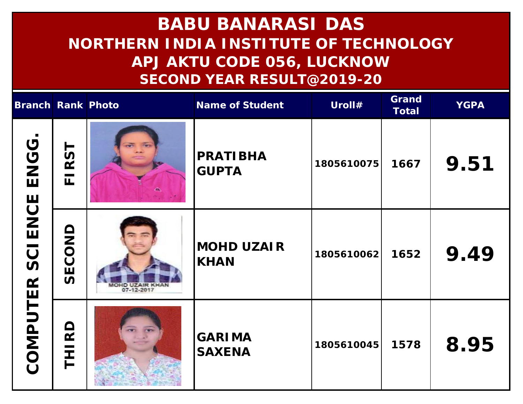| Branch Rank Photo       |                               |                               | Name of Student                | Uroll#     | Grand<br>Total | <b>YGPA</b> |
|-------------------------|-------------------------------|-------------------------------|--------------------------------|------------|----------------|-------------|
| ENGG.<br><b>SCIENCE</b> | RST<br>$\mathsf{L}\mathsf{L}$ |                               | PRATIBHA<br><b>GUPTA</b>       | 1805610075 | 1667           | 9.51        |
|                         | SECONI                        | MOHD UZAIR KHAN<br>07-12-2017 | <b>MOHD UZAIR</b><br>KHAN      | 1805610062 | 1652           | 9.49        |
| COMPUTER                | RD<br><br>王                   |                               | <b>GARIMA</b><br><b>SAXENA</b> | 1805610045 | 1578           | 8.95        |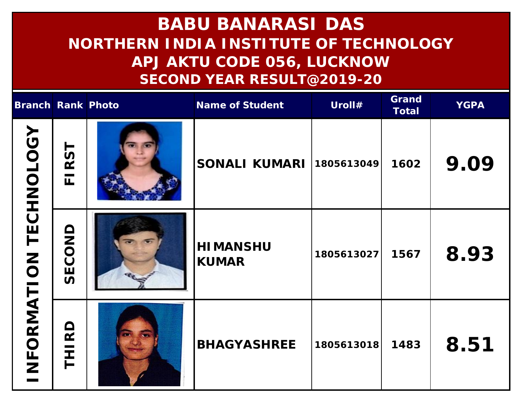| Branch Rank Photo     |                                | Name of Student                 | Uroll#     | Grand<br>Total | <b>YGPA</b> |
|-----------------------|--------------------------------|---------------------------------|------------|----------------|-------------|
| NFORMATION TECHNOLOGY | RST<br>$\overline{\mathbf{L}}$ | SONALI KUMARI                   | 1805613049 | 1602           | 9.09        |
|                       | SECOND                         | <b>HIMANSHU</b><br><b>KUMAR</b> | 1805613027 | 1567           | 8.93        |
|                       | THIRD                          | <b>BHAGYASHREE</b>              | 1805613018 | 1483           | 8.51        |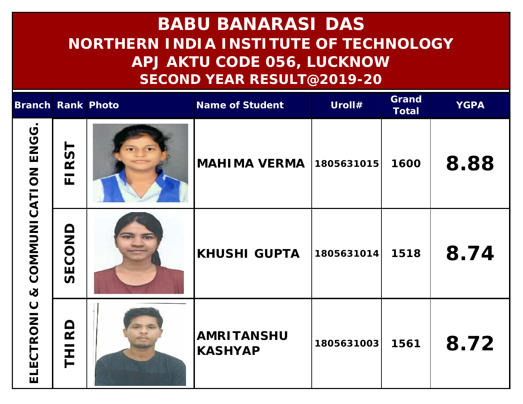| Branch Rank Photo                   |                                | Name of Student                     | Uroll#     | Grand<br>Total | <b>YGPA</b> |
|-------------------------------------|--------------------------------|-------------------------------------|------------|----------------|-------------|
| & COMMUNICATION ENGG.<br>ELECTRONIC | RST<br>$\overline{\mathbf{L}}$ | MAHIMA VERMA                        | 1805631015 | 1600           | 8.88        |
|                                     | SECOND                         | <b>KHUSHI GUPTA</b>                 | 1805631014 | 1518           | 8.74        |
|                                     | $\overline{R}$<br>王            | <b>AMRITANSHU</b><br><b>KASHYAP</b> | 1805631003 | 1561           | 8.72        |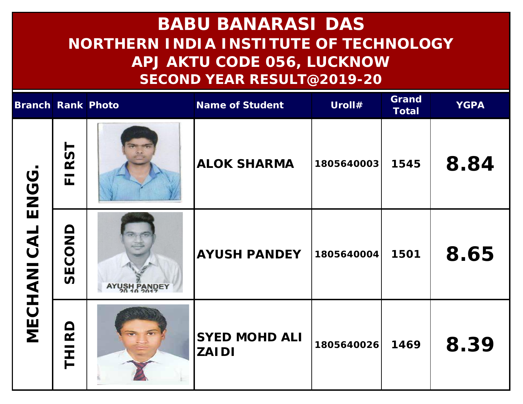| Branch Rank Photo   |                                |              | Name of Student                      | Uroll#     | Grand<br>Total | <b>YGPA</b> |
|---------------------|--------------------------------|--------------|--------------------------------------|------------|----------------|-------------|
| ENGG.<br>MECHANICAL | RST<br>$\overline{\mathbb{L}}$ |              | <b>ALOK SHARMA</b>                   | 1805640003 | 1545           | 8.84        |
|                     | SECOND                         | AYUSH PANDEY | <b>AYUSH PANDEY</b>                  | 1805640004 | 1501           | 8.65        |
|                     | $\Omega$<br>王                  |              | <b>SYED MOHD ALI</b><br><b>ZAIDI</b> | 1805640026 | 1469           | 8.39        |